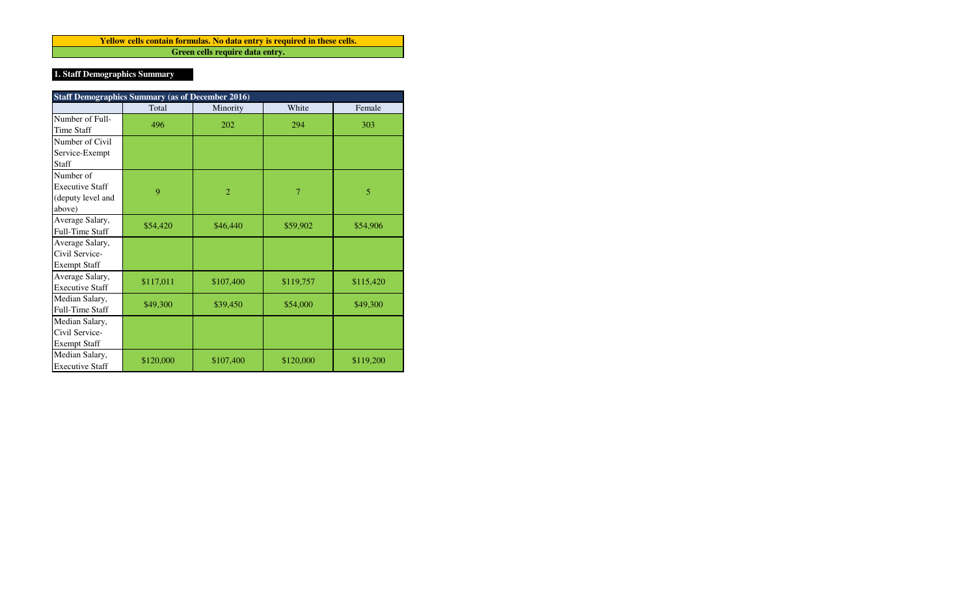**Green cells require data entry. Yellow cells contain formulas. No data entry is required in these cells.**

# **1. Staff Demographics Summary**

| <b>Staff Demographics Summary (as of December 2016)</b>            |           |                |           |           |  |  |  |  |
|--------------------------------------------------------------------|-----------|----------------|-----------|-----------|--|--|--|--|
|                                                                    | Total     | Minority       | White     | Female    |  |  |  |  |
| Number of Full-<br>Time Staff                                      | 496       | 202            | 294       | 303       |  |  |  |  |
| Number of Civil                                                    |           |                |           |           |  |  |  |  |
| Service-Exempt                                                     |           |                |           |           |  |  |  |  |
| Staff                                                              |           |                |           |           |  |  |  |  |
| Number of<br><b>Executive Staff</b><br>(deputy level and<br>above) | 9         | $\overline{2}$ | 7         | 5         |  |  |  |  |
| Average Salary,<br>Full-Time Staff                                 | \$54,420  | \$46,440       | \$59,902  | \$54,906  |  |  |  |  |
| Average Salary,<br>Civil Service-<br><b>Exempt Staff</b>           |           |                |           |           |  |  |  |  |
| Average Salary,<br><b>Executive Staff</b>                          | \$117,011 | \$107,400      | \$119,757 | \$115,420 |  |  |  |  |
| Median Salary,<br><b>Full-Time Staff</b>                           | \$49,300  | \$39,450       | \$54,000  | \$49,300  |  |  |  |  |
| Median Salary,<br>Civil Service-<br><b>Exempt Staff</b>            |           |                |           |           |  |  |  |  |
| Median Salary,<br><b>Executive Staff</b>                           | \$120,000 | \$107,400      | \$120,000 | \$119,200 |  |  |  |  |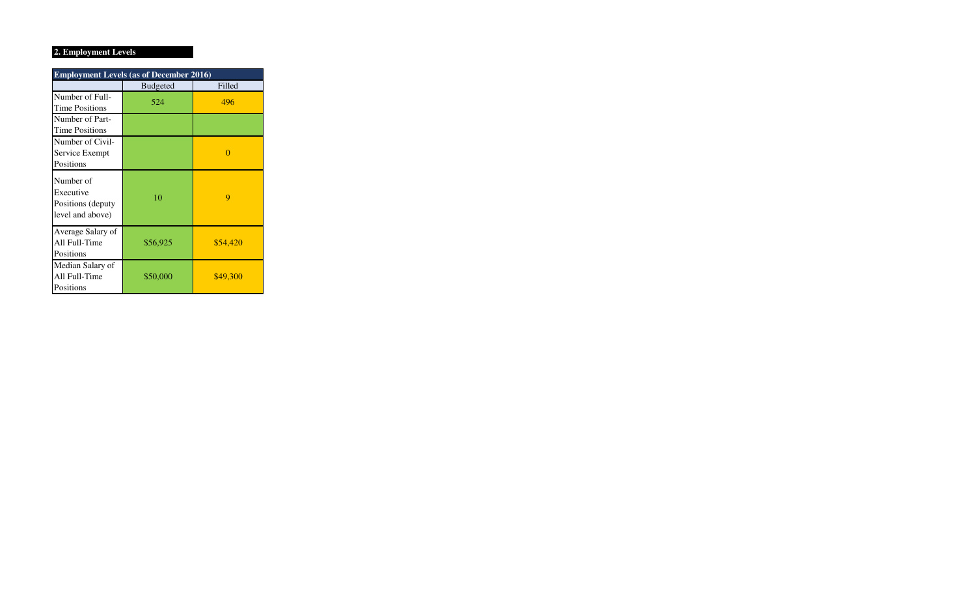## **2. Employment Levels**

| <b>Employment Levels (as of December 2016)</b>                   |                 |          |  |  |  |  |  |
|------------------------------------------------------------------|-----------------|----------|--|--|--|--|--|
|                                                                  | <b>Budgeted</b> | Filled   |  |  |  |  |  |
| Number of Full-<br><b>Time Positions</b>                         | 524             | 496      |  |  |  |  |  |
| Number of Part-<br><b>Time Positions</b>                         |                 |          |  |  |  |  |  |
| Number of Civil-<br>Service Exempt<br>Positions                  |                 | O        |  |  |  |  |  |
| Number of<br>Executive<br>Positions (deputy)<br>level and above) | 10              | 9        |  |  |  |  |  |
| Average Salary of<br>All Full-Time<br>Positions                  | \$56,925        | \$54,420 |  |  |  |  |  |
| Median Salary of<br>All Full-Time<br>Positions                   | \$50,000        | \$49,300 |  |  |  |  |  |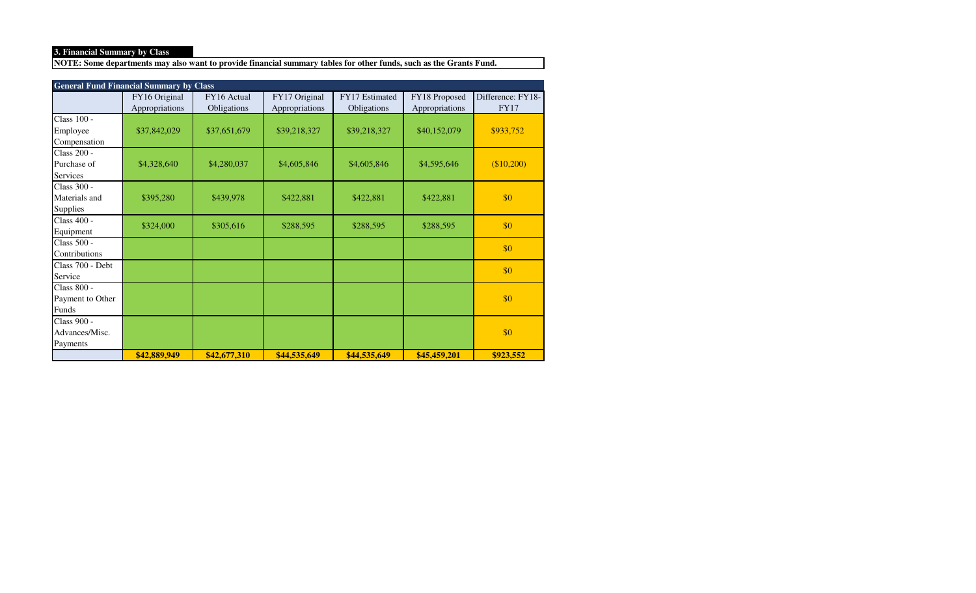## **3. Financial Summary by Class**

**NOTE: Some departments may also want to provide financial summary tables for other funds, such as the Grants Fund.**

|                    | <b>General Fund Financial Summary by Class</b> |              |                |                |                |                   |  |  |  |
|--------------------|------------------------------------------------|--------------|----------------|----------------|----------------|-------------------|--|--|--|
|                    | FY16 Original                                  | FY16 Actual  | FY17 Original  | FY17 Estimated | FY18 Proposed  | Difference: FY18- |  |  |  |
|                    | Appropriations                                 | Obligations  | Appropriations | Obligations    | Appropriations | <b>FY17</b>       |  |  |  |
| Class 100 -        |                                                |              |                |                |                |                   |  |  |  |
| Employee           | \$37,842,029                                   | \$37,651,679 | \$39,218,327   | \$39,218,327   | \$40,152,079   | \$933,752         |  |  |  |
| Compensation       |                                                |              |                |                |                |                   |  |  |  |
| <b>Class 200 -</b> |                                                |              |                |                |                |                   |  |  |  |
| Purchase of        | \$4,328,640                                    | \$4,280,037  | \$4,605,846    | \$4,605,846    | \$4,595,646    | \$10,200          |  |  |  |
| <b>Services</b>    |                                                |              |                |                |                |                   |  |  |  |
| Class 300 -        |                                                |              |                |                |                |                   |  |  |  |
| Materials and      | \$395,280                                      | \$439,978    | \$422,881      | \$422,881      | \$422,881      | \$0               |  |  |  |
| <b>Supplies</b>    |                                                |              |                |                |                |                   |  |  |  |
| Class 400 -        | \$324,000                                      |              |                |                |                | \$0               |  |  |  |
| Equipment          |                                                | \$305,616    | \$288,595      | \$288,595      | \$288,595      |                   |  |  |  |
| Class 500 -        |                                                |              |                |                |                | \$0               |  |  |  |
| Contributions      |                                                |              |                |                |                |                   |  |  |  |
| Class 700 - Debt   |                                                |              |                |                |                | \$0               |  |  |  |
| Service            |                                                |              |                |                |                |                   |  |  |  |
| Class 800 -        |                                                |              |                |                |                |                   |  |  |  |
| Payment to Other   |                                                |              |                |                |                | \$0               |  |  |  |
| Funds              |                                                |              |                |                |                |                   |  |  |  |
| Class 900 -        |                                                |              |                |                |                |                   |  |  |  |
| Advances/Misc.     |                                                |              |                |                |                | \$0               |  |  |  |
| Payments           |                                                |              |                |                |                |                   |  |  |  |
|                    | \$42,889,949                                   | \$42,677,310 | \$44,535,649   | \$44,535,649   | \$45,459,201   | \$923,552         |  |  |  |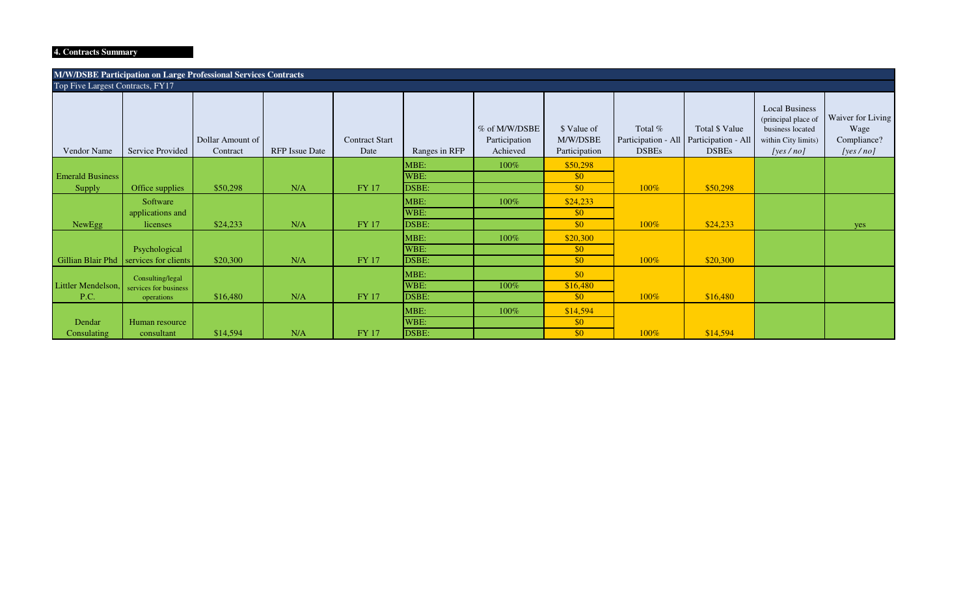## **4. Contracts Summary**

| M/W/DSBE Participation on Large Professional Services Contracts |                                  |                              |                       |                               |               |                                            |                                          |                                                                    |                                |                                                                                                         |                                                      |
|-----------------------------------------------------------------|----------------------------------|------------------------------|-----------------------|-------------------------------|---------------|--------------------------------------------|------------------------------------------|--------------------------------------------------------------------|--------------------------------|---------------------------------------------------------------------------------------------------------|------------------------------------------------------|
|                                                                 | Top Five Largest Contracts, FY17 |                              |                       |                               |               |                                            |                                          |                                                                    |                                |                                                                                                         |                                                      |
| Vendor Name                                                     | Service Provided                 | Dollar Amount of<br>Contract | <b>RFP</b> Issue Date | <b>Contract Start</b><br>Date | Ranges in RFP | % of M/W/DSBE<br>Participation<br>Achieved | \$ Value of<br>M/W/DSBE<br>Participation | Total %<br>Participation - All Participation - All<br><b>DSBEs</b> | Total \$ Value<br><b>DSBEs</b> | <b>Local Business</b><br>(principal place of<br>business located<br>within City limits)<br>[yes $/no$ ] | Waiver for Living<br>Wage<br>Compliance?<br>[yes/no] |
|                                                                 |                                  |                              |                       |                               | MBE:          | $100\%$                                    | \$50,298                                 |                                                                    |                                |                                                                                                         |                                                      |
| <b>Emerald Business</b>                                         |                                  |                              |                       |                               | WBE:          |                                            | \$0                                      |                                                                    |                                |                                                                                                         |                                                      |
| Supply                                                          | Office supplies                  | \$50,298                     | N/A                   | FY 17                         | DSBE:         |                                            | $\sqrt{50}$                              | 100%                                                               | \$50,298                       |                                                                                                         |                                                      |
|                                                                 | Software                         |                              |                       |                               | MBE:          | 100%                                       | \$24,233                                 |                                                                    |                                |                                                                                                         |                                                      |
|                                                                 | applications and                 |                              |                       |                               | WBE:          |                                            | \$0                                      |                                                                    |                                |                                                                                                         |                                                      |
| NewEgg                                                          | licenses                         | \$24,233                     | N/A                   | FY 17                         | DSBE:         |                                            | \$0                                      | 100%                                                               | \$24,233                       |                                                                                                         | yes                                                  |
|                                                                 |                                  |                              |                       |                               | MBE:          | $100\%$                                    | \$20,300                                 |                                                                    |                                |                                                                                                         |                                                      |
|                                                                 | Psychological                    |                              |                       |                               | WBE:          |                                            | \$0                                      |                                                                    |                                |                                                                                                         |                                                      |
| Gillian Blair Phd                                               | services for clients             | \$20,300                     | N/A                   | FY 17                         | DSBE:         |                                            | \$0                                      | 100%                                                               | \$20,300                       |                                                                                                         |                                                      |
|                                                                 | Consulting/legal                 |                              |                       |                               | MBE:          |                                            | \$0                                      |                                                                    |                                |                                                                                                         |                                                      |
| Littler Mendelson,                                              | services for business            |                              |                       |                               | WBE:          | $100\%$                                    | \$16,480                                 |                                                                    |                                |                                                                                                         |                                                      |
| P.C.                                                            | operations                       | \$16,480                     | N/A                   | FY 17                         | DSBE:         |                                            | \$0                                      | 100%                                                               | \$16,480                       |                                                                                                         |                                                      |
|                                                                 |                                  |                              |                       |                               | MBE:          | 100%                                       | \$14,594                                 |                                                                    |                                |                                                                                                         |                                                      |
| Dendar                                                          | Human resource                   |                              |                       |                               | WBE:          |                                            | \$0                                      |                                                                    |                                |                                                                                                         |                                                      |
| Consulating                                                     | consultant                       | \$14,594                     | N/A                   | FY 17                         | DSBE:         |                                            | \$0                                      | 100%                                                               | \$14,594                       |                                                                                                         |                                                      |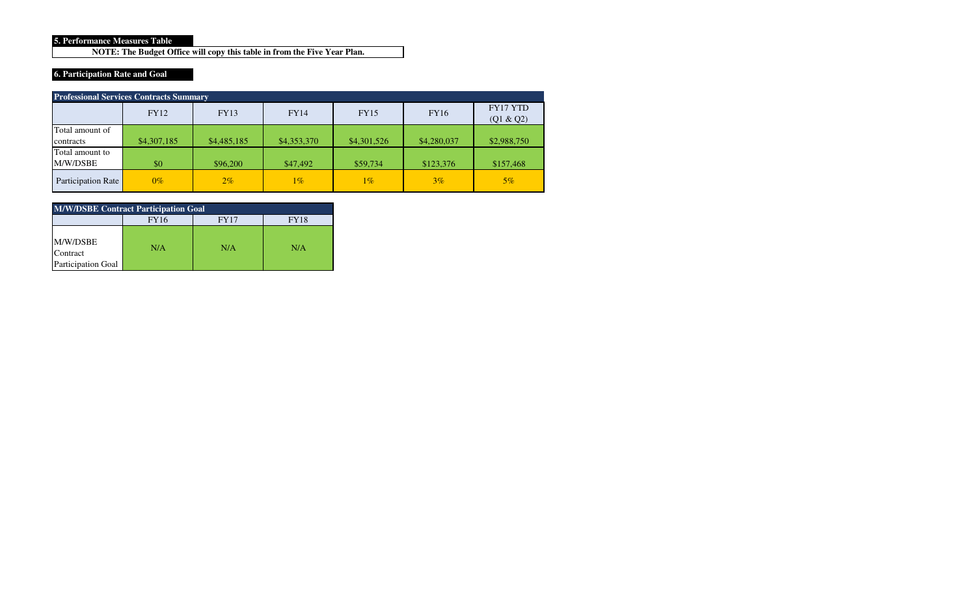#### **5. Performance Measures Table**

**NOTE: The Budget Office will copy this table in from the Five Year Plan.**

# **6. Participation Rate and Goal**

| <b>Professional Services Contracts Summary</b> |             |             |             |             |             |                       |  |  |
|------------------------------------------------|-------------|-------------|-------------|-------------|-------------|-----------------------|--|--|
|                                                | FY12        | <b>FY13</b> | <b>FY14</b> | <b>FY15</b> | <b>FY16</b> | FY17 YTD<br>(Q1 & Q2) |  |  |
| Total amount of                                |             |             |             |             |             |                       |  |  |
| contracts                                      | \$4,307,185 | \$4,485,185 | \$4,353,370 | \$4,301,526 | \$4,280,037 | \$2,988,750           |  |  |
| Total amount to                                |             |             |             |             |             |                       |  |  |
| M/W/DSBE                                       | \$0         | \$96,200    | \$47,492    | \$59,734    | \$123,376   | \$157,468             |  |  |
| Participation Rate                             | $0\%$       | $2\%$       | $1\%$       | $1\%$       | $3\%$       | $5\%$                 |  |  |

| <b>M/W/DSBE Contract Participation Goal</b>       |     |     |     |  |  |  |  |  |
|---------------------------------------------------|-----|-----|-----|--|--|--|--|--|
| <b>FY16</b><br><b>FY17</b><br>FY18                |     |     |     |  |  |  |  |  |
| M/W/DSBE<br>Contract<br><b>Participation Goal</b> | N/A | N/A | N/A |  |  |  |  |  |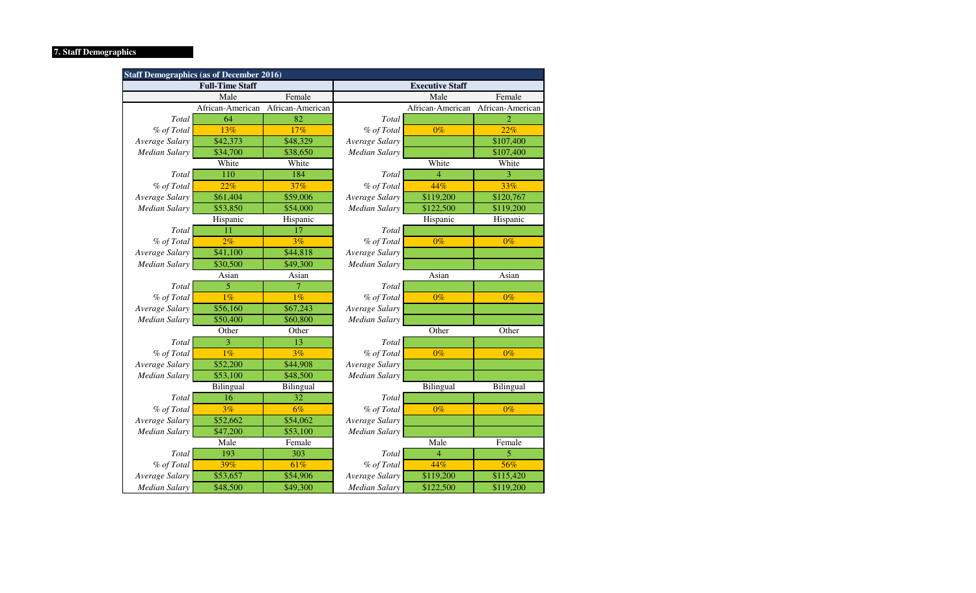# **7. Staff Demographics**

| <b>Staff Demographics (as of December 2016)</b> |                        |                  |                      |                        |                          |  |  |
|-------------------------------------------------|------------------------|------------------|----------------------|------------------------|--------------------------|--|--|
|                                                 | <b>Full-Time Staff</b> |                  |                      | <b>Executive Staff</b> |                          |  |  |
|                                                 | Male                   | Female           |                      | Male                   | Female                   |  |  |
|                                                 | African-American       | African-American |                      | African-American       | African-American         |  |  |
| Total                                           | 64                     | 82               | Total                |                        | $\overline{\mathcal{L}}$ |  |  |
| % of Total                                      | 13%                    | 17%              | % of Total           | $0\%$                  | 22%                      |  |  |
| Average Salary                                  | \$42,373               | \$48,329         | Average Salary       |                        | \$107,400                |  |  |
| <b>Median Salary</b>                            | \$34,700               | \$38,650         | <b>Median Salary</b> |                        | \$107,400                |  |  |
|                                                 | White                  | White            |                      | White                  | White                    |  |  |
| Total                                           | 110                    | 184              | Total                | $\overline{4}$         | 3                        |  |  |
| % of Total                                      | 22%                    | 37%              | % of Total           | 44%                    | 33%                      |  |  |
| Average Salary                                  | \$61,404               | \$59,006         | Average Salary       | \$119,200              | \$120,767                |  |  |
| Median Salary                                   | \$53,850               | \$54,000         | Median Salary        | \$122,500              | \$119,200                |  |  |
|                                                 | Hispanic               | Hispanic         |                      | Hispanic               | Hispanic                 |  |  |
| Total                                           | 11                     | 17               | Total                |                        |                          |  |  |
| % of Total                                      | 2%                     | 3%               | $0\%$<br>% of Total  |                        | $0\%$                    |  |  |
| Average Salary                                  | \$41,100               | \$44,818         | Average Salary       |                        |                          |  |  |
| <b>Median Salary</b>                            | \$30,500               | \$49,300         | <b>Median Salary</b> |                        |                          |  |  |
|                                                 | Asian                  | Asian            |                      | Asian                  | Asian                    |  |  |
| Total                                           | 5                      | 7                | Total                |                        |                          |  |  |
| % of Total                                      | 1%                     | 1%               | % of Total           | $0\%$                  | $0\%$                    |  |  |
| Average Salary                                  | \$56,160               | \$67,243         | Average Salary       |                        |                          |  |  |
| Median Salary                                   | \$50,400               | \$60,800         | Median Salary        |                        |                          |  |  |
|                                                 | Other                  | Other            |                      | Other                  | Other                    |  |  |
| Total                                           | 3                      | 13               | Total                |                        |                          |  |  |
| % of Total                                      | $1\%$                  | 3%               | % of Total           | $0\%$                  | $0\%$                    |  |  |
| Average Salary                                  | \$52,200               | \$44,908         | Average Salary       |                        |                          |  |  |
| <b>Median Salary</b>                            | \$53,100               | \$48,500         | Median Salary        |                        |                          |  |  |
|                                                 | Bilingual              | Bilingual        |                      | Bilingual              | Bilingual                |  |  |
| Total                                           | 16                     | 32               | Total                |                        |                          |  |  |
| % of Total                                      | 3%                     | 6%               | % of Total           | $0\%$                  | $0\%$                    |  |  |
| Average Salary                                  | \$52,662               | \$54,062         | Average Salary       |                        |                          |  |  |
| Median Salary                                   | \$47,200               | \$53,100         | Median Salary        |                        |                          |  |  |
|                                                 | Male                   | Female           |                      | Male                   | Female                   |  |  |
| Total                                           | 193                    | 303              | Total                | $\overline{4}$         | 5                        |  |  |
| % of Total                                      | 39%                    | 61%              | % of Total           | 44%                    | 56%                      |  |  |
| Average Salary                                  | \$53,657               | \$54,906         | Average Salary       | \$119,200              | \$115,420                |  |  |
| <b>Median Salary</b>                            | \$48,500               | \$49,300         | <b>Median Salary</b> | \$122,500              | \$119,200                |  |  |